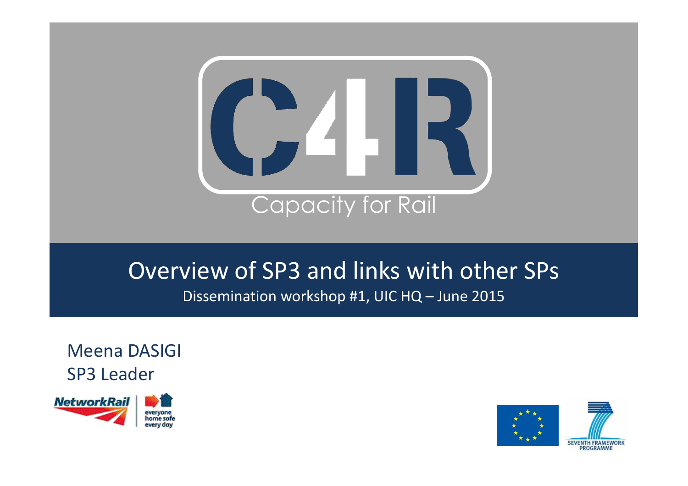

#### Overview of SP3 and links with other SPs Dissemination workshop #1, UIC HQ – June 2015

Meena DASIGI SP3 Leader



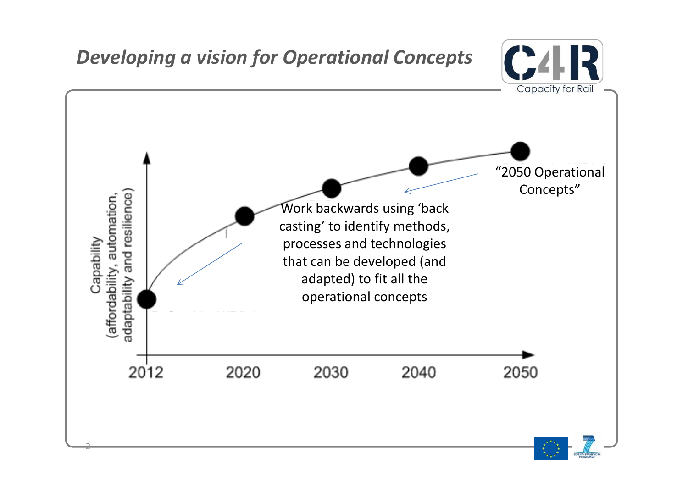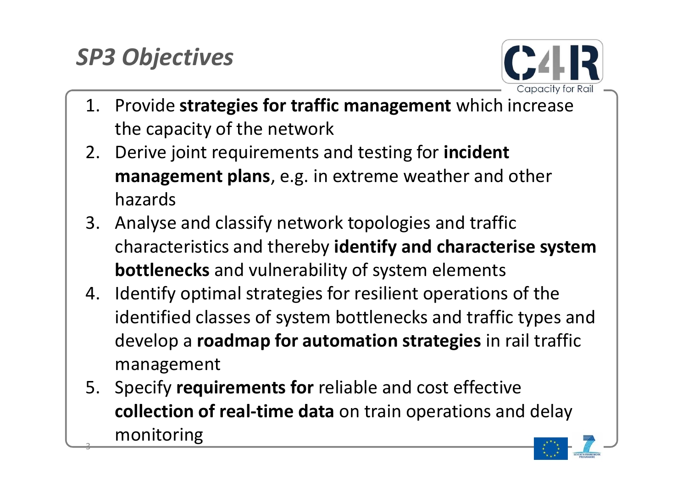# *SP3 Objectives*



- 1. Provide **strategies for traffic management** which increase the capacity of the network
- 2. Derive joint requirements and testing for **incident management plans**, e.g. in extreme weather and other hazards
- 3. Analyse and classify network topologies and traffic characteristics and thereby **identify and characterise system bottlenecks** and vulnerability of system elements
- 4. Identify optimal strategies for resilient operations of the identified classes of system bottlenecks and traffic types and develop a **roadmap for automation strategies** in rail traffic management
- 3 5. Specify **requirements for** reliable and cost effective **collection of real-time data** on train operations and delay monitoring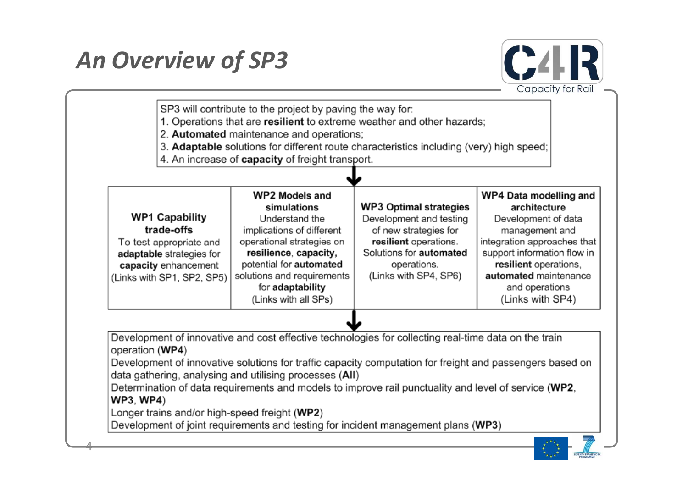# *An Overview of SP3*





Development of innovative solutions for traffic capacity computation for freight and passengers based on data gathering, analysing and utilising processes (AII)

Determination of data requirements and models to improve rail punctuality and level of service (WP2, **WP3, WP4)** 

Longer trains and/or high-speed freight (WP2)

4

Development of joint requirements and testing for incident management plans (WP3)

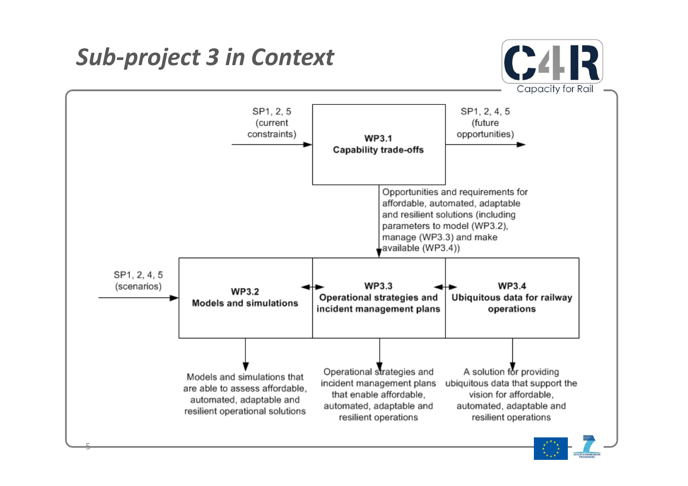*Sub-project 3 in Context*

5



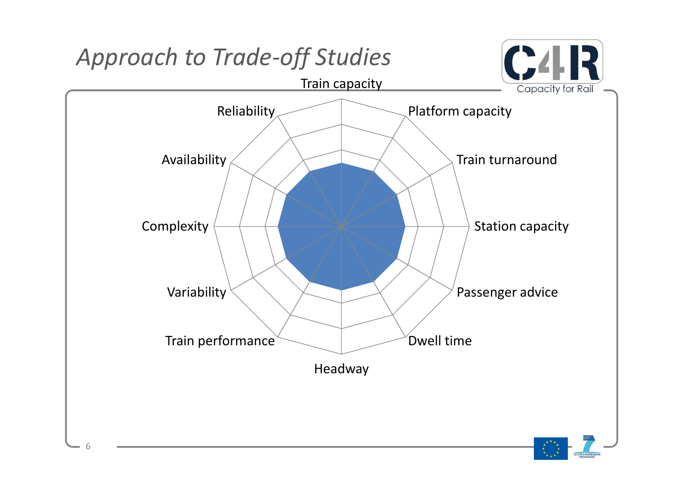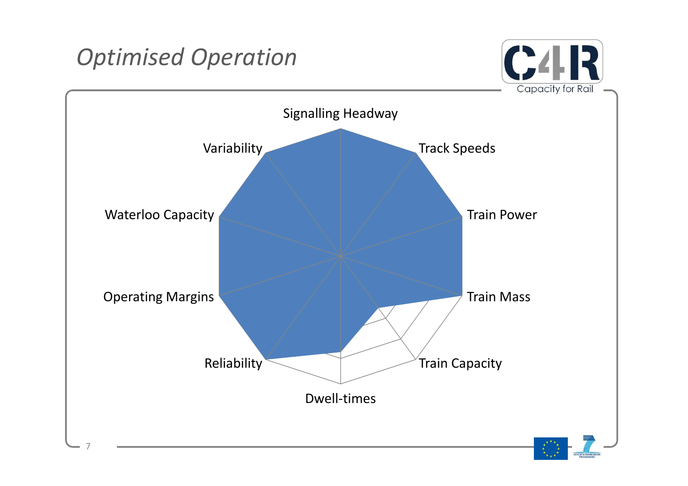## *Optimised Operation*



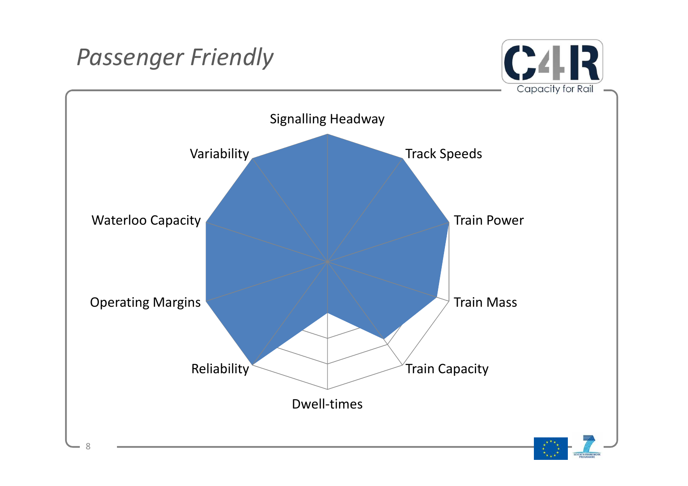## *Passenger Friendly*



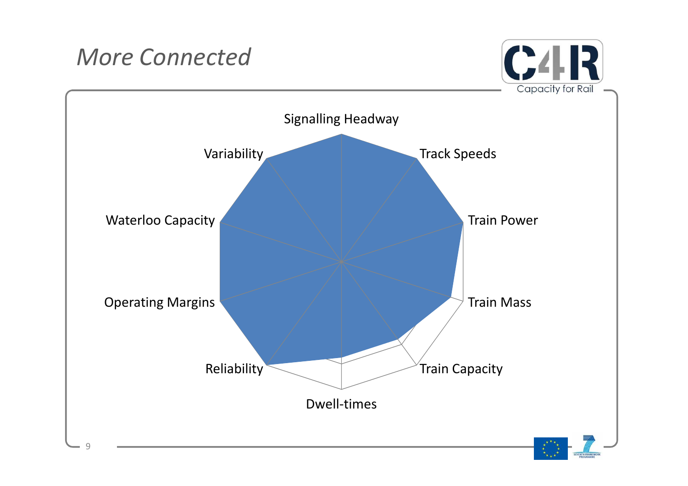## *More Connected*



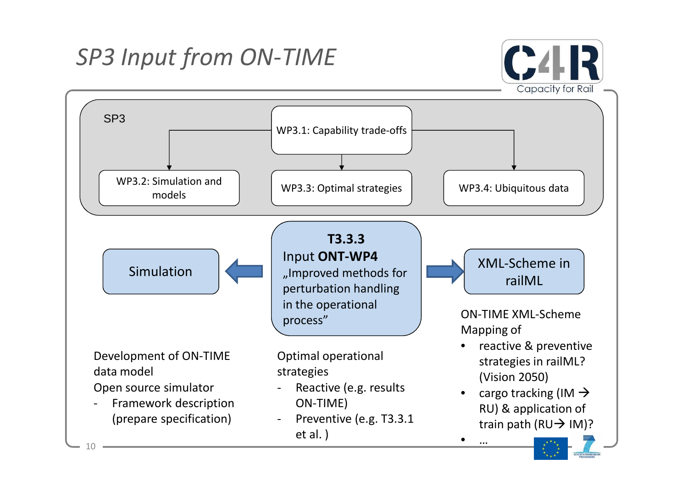# *SP3 Input from ON-TIME*



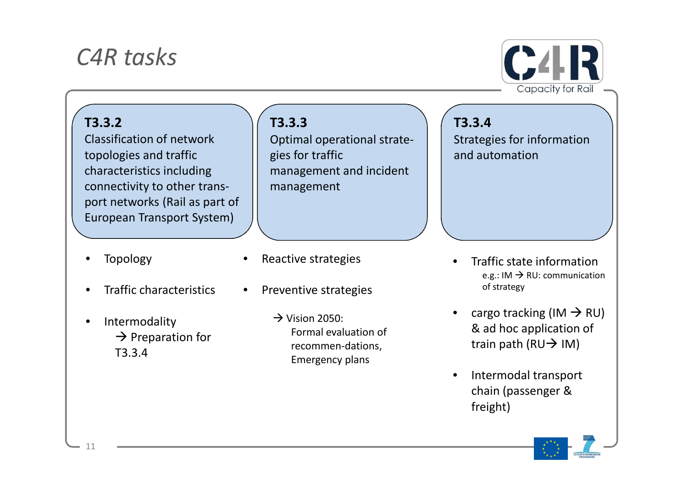### *C4R tasks*



#### **T3.3.2**

Classification of network topologies and traffic characteristics including connectivity to other transport networks (Rail as part of European Transport System)

- **Topology**
- Traffic characteristics
- Intermodality  $\rightarrow$  Preparation for T3.3.4

#### **T3.3.3**

Optimal operational strategies for traffic management and incident management

- Reactive strategies
- Preventive strategies
	- $\rightarrow$  Vision 2050: Formal evaluation of recommen-dations, Emergency plans

**T3.3.4** Strategies for information and automation

- Traffic state information e.g.: IM  $\rightarrow$  RU: communication of strategy
- cargo tracking (IM  $\rightarrow$  RU) & ad hoc application of train path ( $RU \rightarrow IM$ )
- Intermodal transport chain (passenger & freight)

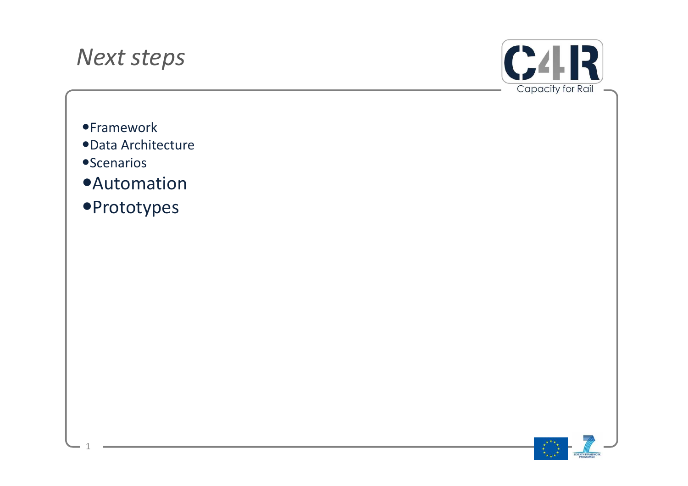#### *Next steps*



- **•Framework**
- Data Architecture
- **•Scenarios**

1

- **•Automation**
- **•Prototypes**